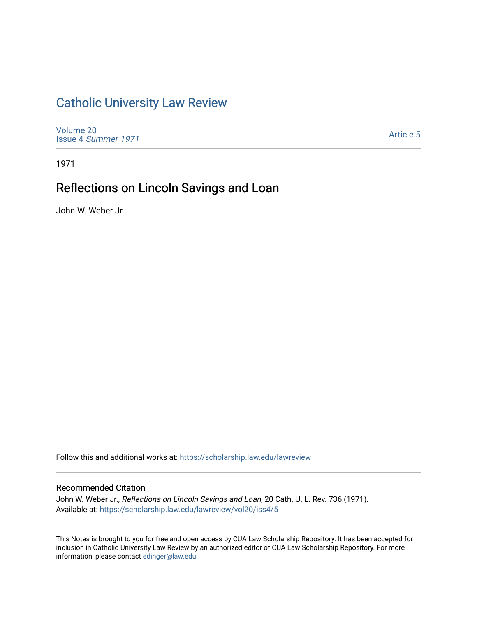## [Catholic University Law Review](https://scholarship.law.edu/lawreview)

[Volume 20](https://scholarship.law.edu/lawreview/vol20) Issue 4 [Summer 1971](https://scholarship.law.edu/lawreview/vol20/iss4) 

[Article 5](https://scholarship.law.edu/lawreview/vol20/iss4/5) 

1971

# Reflections on Lincoln Savings and Loan

John W. Weber Jr.

Follow this and additional works at: [https://scholarship.law.edu/lawreview](https://scholarship.law.edu/lawreview?utm_source=scholarship.law.edu%2Flawreview%2Fvol20%2Fiss4%2F5&utm_medium=PDF&utm_campaign=PDFCoverPages)

### Recommended Citation

John W. Weber Jr., Reflections on Lincoln Savings and Loan, 20 Cath. U. L. Rev. 736 (1971). Available at: [https://scholarship.law.edu/lawreview/vol20/iss4/5](https://scholarship.law.edu/lawreview/vol20/iss4/5?utm_source=scholarship.law.edu%2Flawreview%2Fvol20%2Fiss4%2F5&utm_medium=PDF&utm_campaign=PDFCoverPages)

This Notes is brought to you for free and open access by CUA Law Scholarship Repository. It has been accepted for inclusion in Catholic University Law Review by an authorized editor of CUA Law Scholarship Repository. For more information, please contact [edinger@law.edu.](mailto:edinger@law.edu)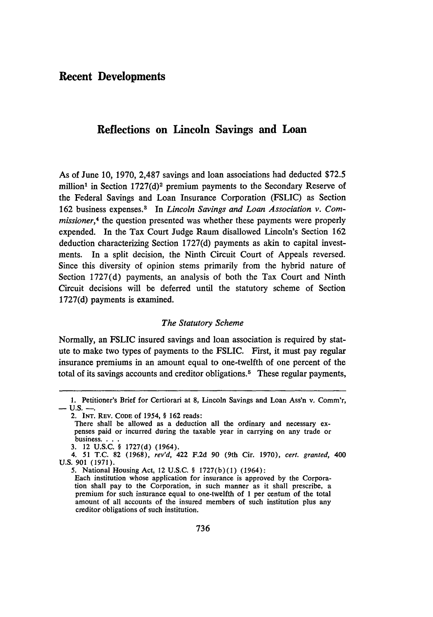### **Reflections on Lincoln Savings and Loan**

As of June **10, 1970, 2,487** savings and loan associations had deducted **\$72.5** million<sup>1</sup> in Section 1727(d)<sup>2</sup> premium payments to the Secondary Reserve of the Federal Savings and Loan Insurance Corporation (FSLIC) as Section 162 business expenses.3 In *Lincoln Savings and Loan Association v. Commissioner,4* the question presented was whether these payments were properly expended. In the Tax Court Judge Raum disallowed Lincoln's Section 162 deduction characterizing Section 1727(d) payments as akin to capital investments. In a split decision, the Ninth Circuit Court of Appeals reversed. Since this diversity of opinion stems primarily from the hybrid nature of Section 1727(d) payments, an analysis of both the Tax Court and Ninth Circuit decisions will be deferred until the statutory scheme of Section 1727(d) payments is examined.

#### *The Statutory Scheme*

Normally, an FSLIC insured savings and loan association is required by statute to make two types of payments to the FSLIC. First, it must pay regular insurance premiums in an amount equal to one-twelfth of one percent of the total of its savings accounts and creditor obligations. 5 These regular payments,

<sup>1.</sup> Petitioner's Brief for Certiorari at 8, Lincoln Savings and Loan Ass'n v. Comm'r, **- U.S. -**

<sup>2.</sup> INT. REV. CODE of 1954, § 162 reads:<br>There shall be allowed as a deduction all the ordinary and necessary expenses paid or incurred during the taxable year in carrying on any trade or business....

**<sup>3.</sup>** 12 **U.S.C.** § 1727(d) (1964).

<sup>4. 51</sup> T.C. 82 (1968), *rev'd,* 422 F.2d 90 (9th Cir. 1970), *cert. granted,* 400 U.S. 901 (1971).

**<sup>5.</sup>** National Housing Act, 12 U.S.C. **§** 1727(b)(1) (1964):

Each institution whose application for insurance is approved **by** the Corporation shall pay to the Corporation, in such manner as it shall prescribe, a premium for such insurance equal to one-twelfth of 1 per centum of the total amount of all accounts of the insured members of such institution plus any creditor obligations of such institution.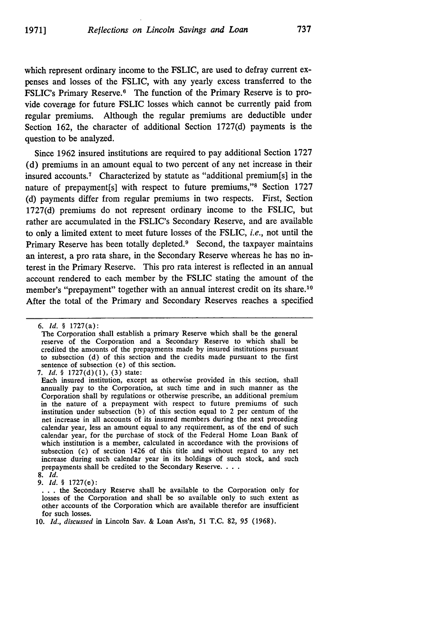which represent ordinary income to the FSLIC, are used to defray current expenses and losses of the FSLIC, with any yearly excess transferred to the FSLIC's Primary Reserve.<sup>6</sup> The function of the Primary Reserve is to provide coverage for future FSLIC losses which cannot be currently paid from regular premiums. Although the regular premiums are deductible under Section 162, the character of additional Section 1727(d) payments is the question to be analyzed.

Since 1962 insured institutions are required to pay additional Section 1727 (d) premiums in an amount equal to two percent of any net increase in their insured accounts.<sup>7</sup> Characterized by statute as "additional premium[s] in the nature of prepayment[s] with respect to future premiums,"<sup>8</sup> Section 1727 (d) payments differ from regular premiums in two respects. First, Section 1727(d) premiums do not represent ordinary income to the FSLIC, but rather are accumulated in the FSLIC's Secondary Reserve, and are available to only a limited extent to meet future losses of the FSLIC, *i.e.,* not until the Primary Reserve has been totally depleted.<sup>9</sup> Second, the taxpayer maintains an interest, a pro rata share, in the Secondary Reserve whereas he has no interest in the Primary Reserve. This pro rata interest is reflected in an annual account rendered to each member by the FSLIC stating the amount of the member's "prepayment" together with an annual interest credit on its share.<sup>10</sup> After the total of the Primary and Secondary Reserves reaches a specified

<sup>6.</sup> Id. § 1727(a):

The Corporation shall establish a primary Reserve which shall be the general reserve of the Corporation and a Secondary Reserve to which shall be credited the amounts of the prepayments made by insured institutions pursuant to subsection (d) of this section and the credits made pursuant to the first sentence of subsection (e) of this section.

*<sup>7.</sup> id.* § 1727(d)(1), (3) state:

Each insured institution, except as otherwise provided in this section, shall annually pay to the Corporation, at such time and in such manner as the Corporation shall by regulations or otherwise prescribe, an additional premium in the nature of a prepayment with respect to future premiums of such institution under subsection (b) of this section equal to 2 per centum of the net increase in all accounts of its insured members during the next preceding calendar year, less an amount equal to any requirement, as of the end of such calendar year, for the purchase of stock of the Federal Home Loan Bank of which institution is a member, calculated in accordance with the provisions of subsection (c) of section 1426 of this title and without regard to any net increase during such calendar year in its holdings of such stock, and such prepayments shall be credited to the Secondary Reserve. **...**

**<sup>8.</sup>** Id.

**<sup>9.</sup> Id.** § 1727(e):

**<sup>• ..</sup>** the Secondary Reserve shall be available to the Corporation only for losses of the Corporation and shall be so available only to such extent as other accounts of the Corporation which are available therefor are insufficient for such losses.

**<sup>10.</sup>** *Id., discussed* in Lincoln **Sav. &** Loan Ass'n, 51 **T.C. 82,** 95 **(1968).**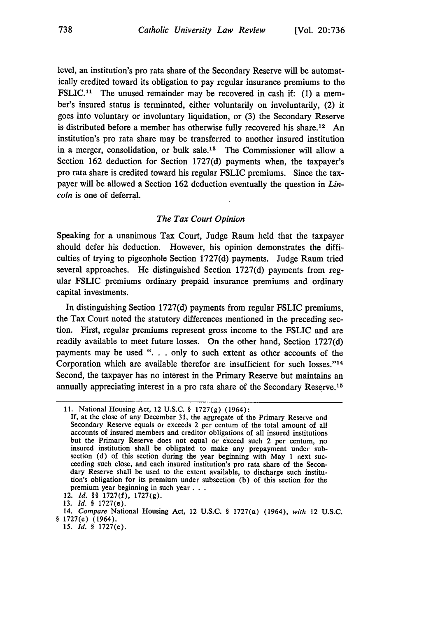level, an institution's pro rata share of the Secondary Reserve will be automatically credited toward its obligation to pay regular insurance premiums to the FSLIC.<sup>11</sup> The unused remainder may be recovered in cash if: (1) a member's insured status is terminated, either voluntarily on involuntarily, (2) it goes into voluntary or involuntary liquidation, or (3) the Secondary Reserve is distributed before a member has otherwise fully recovered his share.<sup>12</sup> An institution's pro rata share may be transferred to another insured institution in a merger, consolidation, or bulk sale.<sup>13</sup> The Commissioner will allow a Section 162 deduction for Section 1727(d) payments when, the taxpayer's pro rata share is credited toward his regular FSLIC premiums. Since the taxpayer will be allowed a Section 162 deduction eventually the question in *Lincoln* is one of deferral.

#### *The Tax Court Opinion*

Speaking for a unanimous Tax Court, Judge Raum held that the taxpayer should defer his deduction. However, his opinion demonstrates the difficulties of trying to pigeonhole Section 1727(d) payments. Judge Raum tried several approaches. He distinguished Section 1727(d) payments from regular FSLIC premiums ordinary prepaid insurance premiums and ordinary capital investments.

In distinguishing Section 1727(d) payments from regular FSLIC premiums, the Tax Court noted the statutory differences mentioned in the preceding section. First, regular premiums represent gross income to the FSLIC and are readily available to meet future losses. On the other hand, Section 1727(d) payments may be used ". **.** . only to such extent as other accounts of the Corporation which are available therefor are insufficient for such losses."<sup>14</sup> Second, the taxpayer has no interest in the Primary Reserve but maintains an annually appreciating interest in a pro rata share of the Secondary Reserve.<sup>15</sup>

<sup>11.</sup> National Housing Act, 12 U.S.C. § 1727(g) (1964):

If, at the close of any December 31, the aggregate of the Primary Reserve and Secondary Reserve equals or exceeds 2 per centum of the total amount of all accounts of insured members and creditor obligations of all insured institutions but the Primary Reserve does not equal or exceed such 2 per centum, no insured institution shall be obligated to make any prepayment under sub-section (d) of this section during the year beginning with May 1 next succeeding such close, and each insured institution's pro rata share of the Secondary Reserve shall be used to the extent available, to discharge such institution's obligation for its premium under subsection **(b)** of this section for the premium year beginning in such year **...**

<sup>12.</sup> *Id. §§* **1727(f), 1727(g).**

**<sup>13.</sup>** *Id. §* 1727(e).

<sup>14.</sup> Compare National Housing Act, 12 **U.S.C.** § 1727(a) (1964), *with* 12 **U.S.C.** § 1727(e) (1964).

*<sup>15.</sup>* **Id.** *§* 1727(e).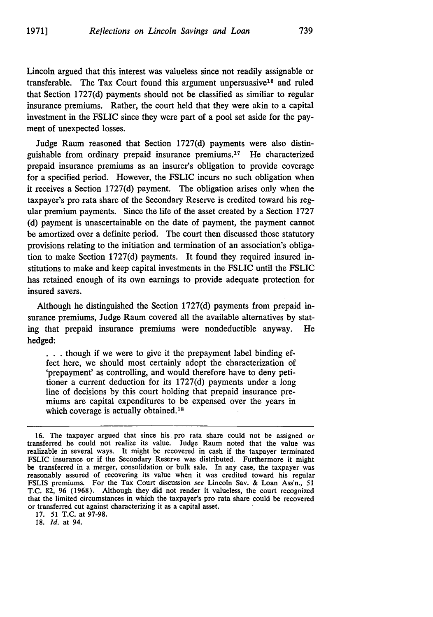Lincoln argued that this interest was valueless since not readily assignable or transferable. The Tax Court found this argument unpersuasive<sup>16</sup> and ruled that Section 1727(d) payments should not be classified as similiar to regular insurance premiums. Rather, the court held that they were akin to a capital investment in the FSLIC since they were part of a pool set aside for the payment of unexpected losses.

Judge Raum reasoned that Section 1727(d) payments were also distinguishable from ordinary prepaid insurance premiums. 17 He characterized prepaid insurance premiums as an insurer's obligation to provide coverage for a specified period. However, the FSLIC incurs no such obligation when it receives a Section 1727(d) payment. The obligation arises only when the taxpayer's pro rata share of the Secondary Reserve is credited toward his regular premium payments. Since the life of the asset created by a Section 1727 (d) payment is unascertainable on the date of payment, the payment cannot be amortized over a definite period. The court then discussed those statutory provisions relating to the initiation and termination of an association's obligation to make Section 1727(d) payments. It found they required insured institutions to make and keep capital investments in the FSLIC until the FSLIC has retained enough of its own earnings to provide adequate protection for insured savers.

Although he distinguished the Section 1727(d) payments from prepaid insurance premiums, Judge Raum covered all the available alternatives by stating that prepaid insurance premiums were nondeductible anyway. He hedged:

**.. .** though if we were to give it the prepayment label binding effect here, we should most certainly adopt the characterization of 'prepayment' as controlling, and would therefore have to deny petitioner a current deduction for its 1727(d) payments under a long line of decisions by this court holding that prepaid insurance premiums are capital expenditures to be expensed over the years in which coverage is actually obtained.<sup>18</sup>

17. 51 T.C. at 97-98.

18. *Id.* at 94.

<sup>16.</sup> The taxpayer argued that since his pro rata share could not be assigned or transferred he could not realize its value. Judge Raum noted that the value was realizable in several ways. It might be recovered in cash if the taxpayer terminated FSLIC insurance or if the Secondary Reserve was distributed. Furthermore it might be transferred in a merger, consolidation or bulk sale. In any case, the taxpayer was reasonably assured of recovering its value when it was credited toward his regular FSLIS premiums. For the Tax Court discussion see Lincoln Sav. & Loan Ass'n., 51 T.C. 82, 96 (1968). Although they did not render it valueless, the court recognized that the limited circumstances in which the taxpayer's pro rata share could be recovered or transferred cut against characterizing it as a capital asset.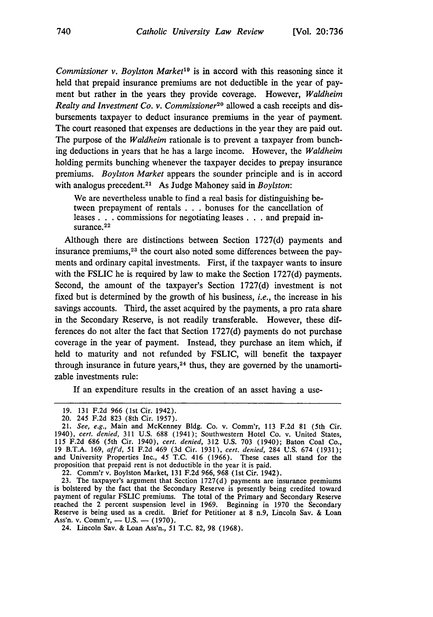*Commissioner v. Boylston Market"9* is in accord with this reasoning since it held that prepaid insurance premiums are not deductible in the year of payment but rather in the years they provide coverage. However, *Waldheim Realty and Investment Co. v. Commissioner20* allowed a cash receipts and disbursements taxpayer to deduct insurance premiums in the year of payment. The court reasoned that expenses are deductions in the year they are paid out. The purpose of the *Waldheim* rationale is to prevent a taxpayer from bunching deductions in years that he has a large income. However, the *Waldheim* holding permits bunching whenever the taxpayer decides to prepay insurance premiums. *Boylston Market* appears the sounder principle and is in accord with analogus precedent.<sup>21</sup> As Judge Mahoney said in *Boylston*:

We are nevertheless unable to find a real basis for distinguishing between prepayment of rentals . . . bonuses for the cancellation of leases **. . .** commissions for negotiating leases **. . .** and prepaid insurance. $^{22}$ 

Although there are distinctions between Section 1727(d) payments and insurance premiums, 23 the court also noted some differences between the payments and ordinary capital investments. First, if the taxpayer wants to insure with the FSLIC he is required by law to make the Section 1727(d) payments. Second, the amount of the taxpayer's Section 1727(d) investment is not fixed but is determined by the growth of his business, *i.e.,* the increase in his savings accounts. Third, the asset acquired by the payments, a pro rata share in the Secondary Reserve, is not readily transferable. However, these differences do not alter the fact that Section 1727(d) payments do not purchase coverage in the year of payment. Instead, they purchase an item which, if held to maturity and not refunded by FSLIC, will benefit the taxpayer through insurance in future years, 24 thus, they are governed **by** the unamortizable investments rule:

If an expenditure results in the creation of an asset having a use-

<sup>19. 131</sup> F.2d 966 (1st Cir. 1942).

<sup>20. 245</sup> F.2d 823 (8th Cir. 1957).

<sup>21.</sup> *See, e.g.,* Main and McKenney Bldg. Co. v. Comm'r, 113 F.2d 81 (5th Cir. 1940), *cert. denied,* 311 U.S. 688 (1941); Southwestern Hotel Co. v. United States, 115 F.2d 686 (5th Cir. 1940), *cert. denied,* 312 U.S. 703 (1940); Baton Coal Co., 19 B.T.A. 169, aff'd, 51 F.2d 469 (3d Cir. 1931), *cert. denied,* 284 U.S. 674 (1931); and University Properties Inc., 45 T.C. 416 (1966). These cases all stand for the proposition that prepaid rent is not deductible in the year it is paid.

<sup>22.</sup> Comm'r v. Boylston Market, 131 F.2d 966, 968 (lst Cir. 1942).

<sup>23.</sup> The taxpayer's argument that Section 1727(d) payments are insurance premiums is bolstered by the fact that the Secondary Reserve is presently being credited toward payment of regular FSLIC premiums. The total of the Primary and Secondary Reserve reached the 2 percent suspension level in 1969. Beginning in 1970 the Secondary Reserve is being used as a credit. Brief for Petitioner at **8** n.9, Lincoln Sav. & Loan Ass'n. v. Comm'r, - U.S. - (1970).

<sup>24.</sup> Lincoln Sav. & Loan Ass'n, **51 T.C. 82, 98** (1968).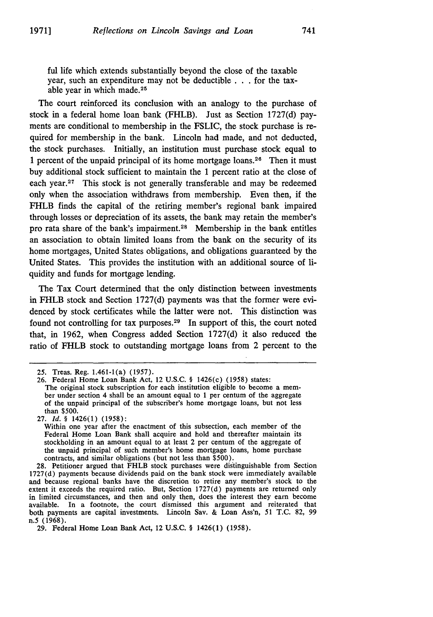ful life which extends substantially beyond the close of the taxable year, such an expenditure may not be deductible **. . .** for the taxable year in which made. <sup>25</sup>

The court reinforced its conclusion with an analogy to the purchase of stock in a federal home loan bank (FHLB). Just as Section 1727(d) payments are conditional to membership in the FSLIC, the stock purchase is required for membership in the bank. Lincoln had made, and not deducted, the stock purchases. Initially, an institution must purchase stock equal to 1 percent of the unpaid principal of its home mortgage loans.<sup>26</sup> Then it must buy additional stock sufficient to maintain the 1 percent ratio at the close of each **year.27** This stock is not generally transferable and may be redeemed only when the association withdraws from membership. Even then, if the FHLB finds the capital of the retiring member's regional bank impaired through losses or depreciation of its assets, the bank may retain the member's pro rata share of the bank's impairment.<sup>28</sup> Membership in the bank entitles an association to obtain limited loans from the bank on the security of its home mortgages, United States obligations, and obligations guaranteed by the United States. This provides the institution with an additional source of liquidity and funds for mortgage lending.

The Tax Court determined that the only distinction between investments in FHLB stock and Section 1727(d) payments was that the former were evidenced by stock certificates while the latter were not. This distinction was found not controlling for tax purposes.<sup>29</sup> In support of this, the court noted that, in 1962, when Congress added Section 1727(d) it also reduced the ratio of FHLB stock to outstanding mortgage loans from 2 percent to the

<sup>25.</sup> Treas. Reg. 1.461-1(a) (1957).

<sup>26.</sup> Federal Home Loan Bank Act, 12 U.S.C. § 1426(c) (1958) states: The original stock subscription for each institution eligible to become a member under section 4 shall be an amount equal to 1 per centum of the aggregate of the unpaid principal of the subscriber's home mortgage loans, but not less than \$500.

<sup>27.</sup> *Id.* § 1426(1) (1958):

Within one year after the enactment of this subsection, each member of the Federal Home Loan Bank shall acquire and hold and thereafter maintain its stockholding in an amount equal to at least 2 per centum of the aggregate of the unpaid principal of such member's home mortgage loans, home purchase contracts, and similar obligations (but not less than \$500).

<sup>28.</sup> Petitioner argued that FHLB stock purchases were distinguishable from Section 1727(d) payments because dividends paid on the bank stock were immediately available and because regional banks have the discretion to retire any member's stock to the extent it exceeds the required ratio. But, Section 1727(d) payments are returned only in limited circumstances, and then and only then, does the interest they earn become available. In a footnote, the court dismissed this argument and reiterated that both payments are capital investments. Lincoln Say. & Loan Ass'n, 51 T.C. 82, 99 n.5 (1968).

<sup>29.</sup> Federal Home Loan Bank Act, 12 U.S.C. § 1426(1) (1958).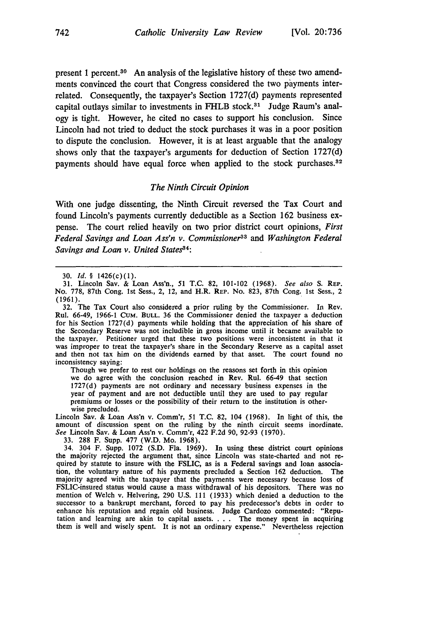present 1 percent.30 An analysis of the legislative history of these two amendments convinced the court that Congress considered the two payments interrelated. Consequently, the taxpayer's Section 1727(d) payments represented capital outlays similar to investments in FHLB stock.<sup>31</sup> Judge Raum's analogy is tight. However, he cited no cases to support his conclusion. Since Lincoln had not tried to deduct the stock purchases it was in a poor position to dispute the conclusion. However, it is at least arguable that the analogy shows only that the taxpayer's arguments for deduction of Section 1727(d) payments should have equal force when applied to the stock purchases.<sup>32</sup>

#### *The Ninth Circuit Opinion*

With one judge dissenting, the Ninth Circuit reversed the Tax Court and found Lincoln's payments currently deductible as a Section 162 business expense. The court relied heavily on two prior district court opinions, *First Federal Savings and Loan Ass'n v. Commissioner33* and *Washington Federal Savings and Loan v. United States3 4:*

32. The Tax Court also considered a prior ruling by the Commissioner. In Rev. Rul. 66-49, 1966-1 CuM. **BULL.** 36 the Commissioner denied the taxpayer a deduction for his Section 1727(d) payments while holding that the appreciation of his share of the Secondary Reserve was not includible in gross income until it became available to the taxpayer. Petitioner urged that these two positions were inconsistent in that it was improper to treat the taxpayer's share in the Secondary Reserve as a capital asset and then not tax him on the dividends earned by that asset. The court found no inconsistency saying:

Though we prefer to rest our holdings on the reasons set forth in this opinion we do agree with the conclusion reached in Rev. Rul. 66-49 that section 1727(d) payments are not ordinary and necessary business expenses in the year of payment and are not deductible until they are used to pay regular premiums or losses or the possibility of their return to the institution is otherwise precluded.

Lincoln Say. & Loan Ass'n v. Comm'r, 51 T.C. 82, 104 (1968). In light of this, the amount of discussion spent on the ruling by the ninth circuit seems inordinate. *See* Lincoln Sav. & Loan Ass'n v. Comm'r, 422 F.2d 90, 92-93 (1970).

33. 288 F. Supp. 477 (W.D. Mo, 1968).

34. 304 F. Supp. 1072 (S.D. Fla. 1969). In using these district court opinions the majority rejected the argument that, since Lincoln was state-charted and not re- quired by statute to insure with the FSLIC, as is a Federal savings and loan association, the voluntary nature of his payments precluded a Section 162 deduction. The majority agreed with the taxpayer that the payments were necessary because loss of FSLIC-insured status would cause a mass withdrawal of his depositors. There was no mention of Welch v. Helvering, 290 U.S. 111 (1933) which denied a deduction to the successor to a bankrupt merchant, forced to pay his predecessor's debts in order to enhance his reputation and regain old business. Judge Cardozo commented: "Reputation and learning are akin to capital assets. . **.** . The money spent in acquiring them is well and wisely spent. It is not an ordinary expense." Nevertheless rejection

<sup>30.</sup> Id. § 1426(c)(1).

<sup>31.</sup> Lincoln Say. & Loan Ass'n., 51 T.C. 82, 101-102 (1968). See also S. REP. No. 778, 87th Cong. 1st Sess., 2, 12, and H.R. REP. No. 823, 87th Cong. 1st Sess., 2 (1961).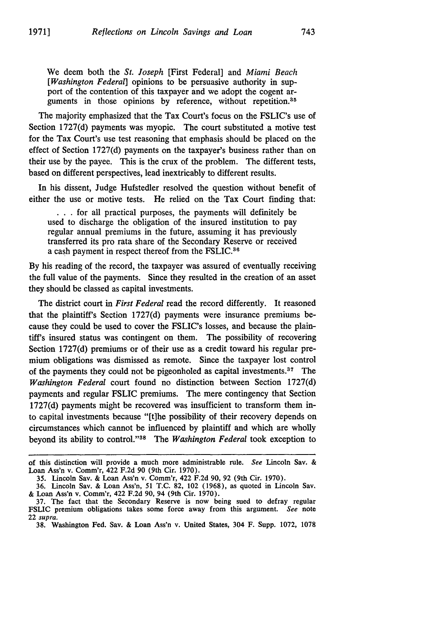We deem both the *St. Joseph* [First Federal] and *Miami Beach [Washington Federal]* opinions to be persuasive authority in support of the contention of this taxpayer and we adopt the cogent arguments in those opinions by reference, without repetition.<sup>35</sup>

The majority emphasized that the Tax Court's focus on the FSLIC's use of Section 1727(d) payments was myopic. The court substituted a motive test for the Tax Court's use test reasoning that emphasis should be placed on the effect of Section 1727(d) payments on the taxpayer's business rather than on their use by the payee. This is the crux of the problem. The different tests, based on different perspectives, lead inextricably to different results.

In his dissent, Judge Hufstedler resolved the question without benefit of either the use or motive tests. He relied on the Tax Court finding that:

• **. .**for all practical purposes, the payments will definitely be used to discharge the obligation of the insured institution to pay regular annual premiums in the future, assuming it has previously transferred its pro rata share of the Secondary Reserve or received a cash payment in respect thereof from the FSLIC.<sup>36</sup>

By his reading of the record, the taxpayer was assured of eventually receiving the full value of the payments. Since they resulted in the creation of an asset they should be classed as capital investments.

The district court in *First Federal* read the record differently. It reasoned that the plaintiff's Section 1727(d) payments were insurance premiums because they could be used to cover the FSLIC's losses, and because the plaintiff's insured status was contingent on them. The possibility of recovering Section 1727(d) premiums or of their use as a credit toward his regular premium obligations was dismissed as remote. Since the taxpayer lost control of the payments they could not be pigeonholed as capital investments.<sup>37</sup> The *Washington Federal* court found no distinction between Section 1727(d) payments and regular FSLIC premiums. The mere contingency that Section 1727(d) payments might be recovered was insufficient to transform them into capital investments because "[t]he possibility of their recovery depends on circumstances which cannot be influenced by plaintiff and which are wholly beyond its ability to control."'38 The *Washington Federal* took exception to

of this distinction will provide a much more administrable rule. See Lincoln Say. & Loan Ass'n v. Comm'r, 422 F.2d 90 (9th Cir. 1970).

<sup>35.</sup> Lincoln Say. & Loan Ass'n v. Comm'r, 422 F.2d 90, 92 (9th Cir. 1970).

<sup>36.</sup> Lincoln Sav. & Loan Ass'n, 51 T.C. 82, 102 (1968), as quoted in Lincoln Sav. & Loan Ass'n v. Comm'r, 422 F.2d **90,** 94 (9th Cir. 1970).

<sup>37.</sup> The fact that the Secondary Reserve is now being sued to defray regular FSLIC premium obligations takes some force away from this argument. See note 22 supra.

<sup>38.</sup> Washington Fed. Say. & Loan Ass'n v. United States, 304 F. Supp. 1072, 1078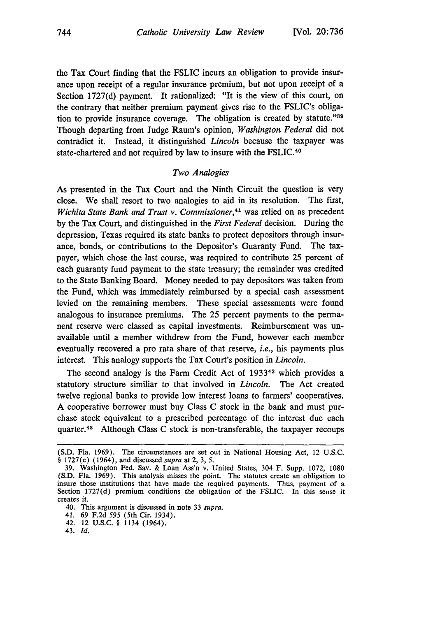the Tax Court finding that the FSLIC incurs an obligation to provide insurance upon receipt of a regular insurance premium, but not upon receipt of a Section 1727(d) payment. It rationalized: "It is the view of this court, on the contrary that neither premium payment gives rise to the FSLIC's obligation to provide insurance coverage. The obligation is created by statute."<sup>39</sup> Though departing from Judge Raum's opinion, *Washington Federal* did not contradict it. Instead, it distinguished *Lincoln* because the taxpayer was state-chartered and not required by law to insure with the FSLIC. <sup>40</sup>

#### *Two Analogies*

As presented in the Tax Court and the Ninth Circuit the question is very close. We shall resort to two analogies to aid in its resolution. The first, *Wichita State Bank and Trust v. Commissioner*,<sup>41</sup> was relied on as precedent by the Tax Court, and distinguished in the *First Federal* decision. During the depression, Texas required its state banks to protect depositors through insurance, bonds, or contributions to the Depositor's Guaranty Fund. The taxpayer, which chose the last course, was required to contribute 25 percent of each guaranty fund payment to the state treasury; the remainder was credited to the State Banking Board. Money needed to pay depositors was taken from the Fund, which was immediately reimbursed by a special cash assessment levied on the remaining members. These special assessments were found analogous to insurance premiums. The 25 percent payments to the permanent reserve were classed as capital investments. Reimbursement was unavailable until a member withdrew from the Fund, however each member eventually recovered a pro rata share of that reserve, *i.e.,* his payments plus interest. This analogy supports the Tax Court's position in *Lincoln.*

The second analogy is the Farm Credit Act of 1933<sup>42</sup> which provides a statutory structure similiar to that involved in *Lincoln.* The Act created twelve regional banks to provide low interest loans to farmers' cooperatives. A cooperative borrower must buy Class C stock in the bank and must purchase stock equivalent to a prescribed percentage of the interest due each quarter.48 Although Class C stock is non-transferable, the taxpayer recoups

<sup>(</sup>S.D. Fla. 1969). The circumstances are set out in National Housing Act, 12 U.S.C. § 1727(e) (1964), and discussed *supra* at 2, 3, 5.

<sup>39.</sup> Washington Fed. Sav. & Loan Ass'n v. United States, 304 F. Supp. 1072, 1080 (S.D. Fla. 1969). This analysis misses the point. The statutes create an obligation to insure those institutions that have made the required payments. Thus, payment of a Section 1727(d) premium conditions the obligation of the FSLIC. In this sense it creates it.

<sup>40.</sup> This argument is discussed in note 33 *supra.*

<sup>41. 69</sup> F.2d 595 (5th Cir. 1934).

<sup>42. 12</sup> U.S.C. § 1134 (1964).

<sup>43.</sup> **Id.**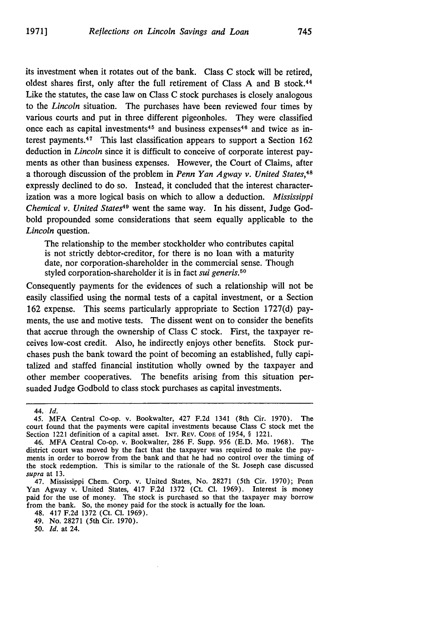its investment when it rotates out of the bank. Class C stock will be retired, oldest shares first, only after the full retirement of Class A and B stock. <sup>44</sup> Like the statutes, the case law on Class C stock purchases is closely analogous to the *Lincoln* situation. The purchases have been reviewed four times by various courts and put in three different pigeonholes. They were classified once each as capital investments<sup>45</sup> and business expenses<sup>46</sup> and twice as interest payments. $47$  This last classification appears to support a Section 162 deduction in *Lincoln* since it is difficult to conceive of corporate interest payments as other than business expenses. However, the Court of Claims, after a thorough discussion of the problem in *Penn Yan Agway v. United States,48* expressly declined to do so. Instead, it concluded that the interest characterization was a more logical basis on which to allow a deduction. *Mississippi Chemical v. United States49* went the same way. In his dissent, Judge Godbold propounded some considerations that seem equally applicable to the *Lincoln* question.

The relationship to the member stockholder who contributes capital is not strictly debtor-creditor, for there is no loan with a maturity date, nor corporation-shareholder in the commercial sense. Though styled corporation-shareholder it is in fact *sui generis.50*

Consequently payments for the evidences of such a relationship will not be easily classified using the normal tests of a capital investment, or a Section 162 expense. This seems particularly appropriate to Section 1727(d) payments, the use and motive tests. The dissent went on to consider the benefits that accrue through the ownership of Class C stock. First, the taxpayer receives low-cost credit. Also, he indirectly enjoys other benefits. Stock purchases push the bank toward the point of becoming an established, fully capitalized and staffed financial institution wholly owned by the taxpayer and other member cooperatives. The benefits arising from this situation persuaded Judge Godbold to class stock purchases as capital investments.

*50. Id.* at 24.

<sup>44.</sup> *Id.*

<sup>45.</sup> MFA Central Co-op. v. Bookwalter, 427 F.2d 1341 (8th Cir. 1970). The court found that the payments were capital investments because Class C stock met the Section 1221 definition of a capital asset. INT. REV. **CODE of** 1954, § 1221.

<sup>46.</sup> MFA Central Co-op. v. Bookwalter, 286 F. Supp. 956 (E.D. Mo. 1968). The district court was moved by the fact that the taxpayer was required to make the payments in order to borrow from the bank and that he had no control over the timing of the stock redemption. This is similar to the rationale of the St. Joseph case discussed *supra* at 13.

<sup>47.</sup> Mississippi Chem. Corp. v. United States, No. 28271 (5th Cir. 1970); Penn Yan Agway v. United States, 417 F.2d 1372 (Ct. **Cl.** 1969). Interest is money paid for the use of money. The stock is purchased so that the taxpayer may borrow from the bank. So, the money paid for the stock is actually for the loan.

<sup>48. 417</sup> F.2d 1372 (Ct. **Cl.** 1969).

<sup>49.</sup> No. 28271 (5th Cir. 1970).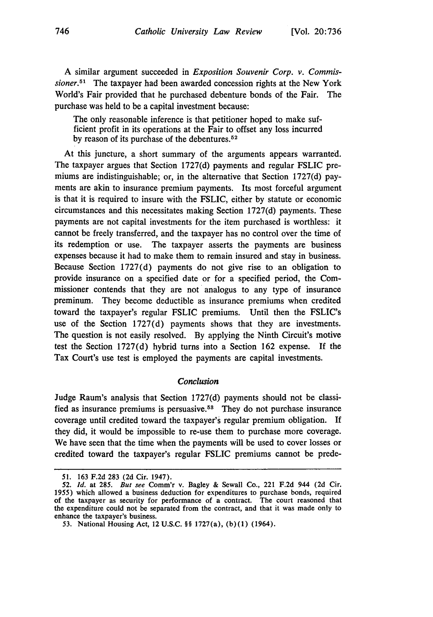A similar argument succeeded in *Exposition Souvenir Corp. v. Commissioner.51* The taxpayer had been awarded concession rights at the New York World's Fair provided that he purchased debenture bonds of the Fair. The purchase was held to be a capital investment because:

The only reasonable inference is that petitioner hoped to make sufficient profit in its operations at the Fair to offset any loss incurred by reason of its purchase of the debentures. $52$ 

At this juncture, a short summary of the arguments appears warranted. The taxpayer argues that Section 1727(d) payments and regular FSLIC premiums are indistinguishable; or, in the alternative that Section 1727(d) payments are akin to insurance premium payments. Its most forceful argument is that it is required to insure with the FSLIC, either by statute or economic circumstances and this necessitates making Section 1727(d) payments. These payments are not capital investments for the item purchased is worthless: it cannot be freely transferred, and the taxpayer has no control over the time of its redemption or use. The taxpayer asserts the payments are business expenses because it had to make them to remain insured and stay in business. Because Section 1727(d) payments do not give rise to an obligation to provide insurance on a specified date or for a specified period, the Commissioner contends that they are not analogus to any type of insurance preminum. They become deductible as insurance premiums when credited toward the taxpayer's regular FSLIC premiums. Until then the FSLIC's use of the Section 1727(d) payments shows that they are investments. The question is not easily resolved. By applying the Ninth Circuit's motive test the Section 1727(d) hybrid turns into a Section 162 expense. **If** the Tax Court's use test is employed the payments are capital investments.

#### *Conclusion*

Judge Raum's analysis that Section **1727(d)** payments should not be classified as insurance premiums is persuasive.55 They do not purchase insurance coverage until credited toward the taxpayer's regular premium obligation. **If** they did, it would be impossible to re-use them to purchase more coverage. We have seen that the time when the payments will be used to cover losses or credited toward the taxpayer's regular FSLIC premiums cannot be prede-

*<sup>51.</sup>* **163 F.2d 283 (2d** Cir. 1947).

*<sup>52.</sup> Id.* at **285. But see** Comm'r v. Bagley **&** Sewall Co., 221 **F.2d** 944 **(2d** Cir. **1955)** which allowed a business deduction for expenditures to purchase bonds, required of the taxpayer as security for performance of a contract. The court reasoned that the expenditure could not be separated from the contract, and that it was made only to enhance the taxpayer's business.

*<sup>53.</sup>* National Housing Act, 12 **U.S.C.** §§ 1727(a), **(b)(1)** (1964).